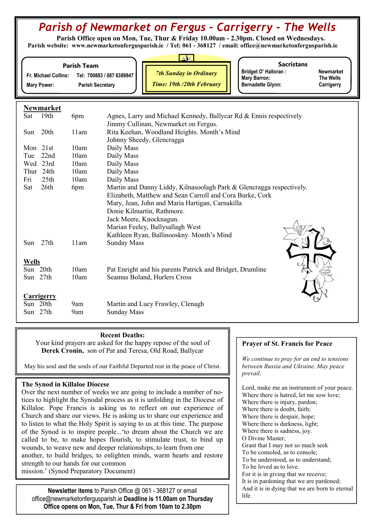# Parish of Newmarket on Fergus - Carrigerry - The Wells

Parish Office open on Mon, Tue, Thur & Friday 10.00am - 2.30pm. Closed on Wednesdays. Parish website: www.newmarketonfergusparish.ie / Tel: 061 - 368127 / email: office@newmarketonfergusparish.ie

### Parish Team

Fr. Michael Collins: Tel: 700883 / 087 6389847 Mary Power: Parish Secretary

7th Sunday in Ordinary

Time: 19th /20th February

**Sacristans** 

Bridget O' Halloran : Newmarket<br>
Mary Barron: The Wells Mary Barron: Bernadette Glynn: Carrigerry

# Newmarket

| Sat               | 19th             | 6pm  | Agnes, Larry and Michael Kennedy, Ballycar Rd & Ennis respectively   |
|-------------------|------------------|------|----------------------------------------------------------------------|
|                   |                  |      | Jimmy Cullinan, Newmarket on Fergus.                                 |
| Sun               | 20th             | 11am | Rita Keehan, Woodland Heights. Month's Mind                          |
|                   |                  |      | Johnny Sheedy, Glencragga                                            |
| Mon               | 21st             | 10am | Daily Mass                                                           |
| Tue               | 22nd             | 10am | Daily Mass                                                           |
| Wed               | 23rd             | 10am | Daily Mass                                                           |
| Thur              | 24th             | 10am | Daily Mass                                                           |
| Fri               | 25 <sup>th</sup> | 10am | Daily Mass                                                           |
| Sat               | 26th             | 6pm  | Martin and Danny Liddy, Kilnasoolagh Park & Glencragga respectively. |
|                   |                  |      | Elizabeth, Matthew and Sean Carroll and Cora Burke, Cork             |
|                   |                  |      | Mary, Jean, John and Maria Hartigan, Carnakilla                      |
|                   |                  |      | Donie Kilmartin, Rathmore.                                           |
|                   |                  |      | Jack Meere, Knocknagun.                                              |
|                   |                  |      | Marian Feeley, Ballysallagh West                                     |
|                   |                  |      | Kathleen Ryan, Ballinooskny. Month's Mind                            |
| Sun               | 27th             | 11am | <b>Sunday Mass</b>                                                   |
|                   |                  |      |                                                                      |
| <b>Wells</b>      |                  |      |                                                                      |
| Sun 20th          |                  | 10am | Pat Enright and his parents Patrick and Bridget, Drumline            |
| Sun 27th          |                  | 10am | Seamus Boland, Hurlers Cross                                         |
|                   |                  |      |                                                                      |
| <b>Carrigerry</b> |                  |      |                                                                      |
| Sun 20th          |                  | 9am  | Martin and Lucy Frawley, Clenagh                                     |
| Sun 27th          |                  | 9am  | <b>Sunday Mass</b>                                                   |
|                   |                  |      |                                                                      |

# Recent Deaths:

Your kind prayers are asked for the happy repose of the soul of Derek Cronin, son of Pat and Teresa, Old Road, Ballycar

May his soul and the souls of our Faithful Departed rest in the peace of Christ.

# The Synod in Killaloe Diocese

Over the next number of weeks we are going to include a number of notices to highlight the Synodal process as it is unfolding in the Diocese of Killaloe. Pope Francis is asking us to reflect on our experience of Church and share our views. He is asking us to share our experience and to listen to what the Holy Spirit is saying to us at this time. The purpose of the Synod is to inspire people...'to dream about the Church we are called to be, to make hopes flourish, to stimulate trust, to bind up wounds, to weave new and deeper relationships, to learn from one another, to build bridges, to enlighten minds, warm hearts and restore strength to our hands for our common mission.' (Synod Preparatory Document)

Newsletter items to Parish Office @ 061 - 368127 or email office@newmarketonfergusparish.ie Deadline is 11.00am on Thursday Office opens on Mon, Tue, Thur & Fri from 10am to 2.30pm

# Prayer of St. Francis for Peace

We continue to pray for an end to tensions between Russia and Ukraine. May peace prevail.

Lord, make me an instrument of your peace. Where there is hatred, let me sow love; Where there is injury, pardon; Where there is doubt, faith; Where there is despair, hope; Where there is darkness, light; Where there is sadness, joy. O Divine Master, Grant that I may not so much seek To be consoled, as to console; To be understood, as to understand; To be loved as to love. For it is in giving that we receive; It is in pardoning that we are pardoned; And it is in dying that we are born to eternal life.